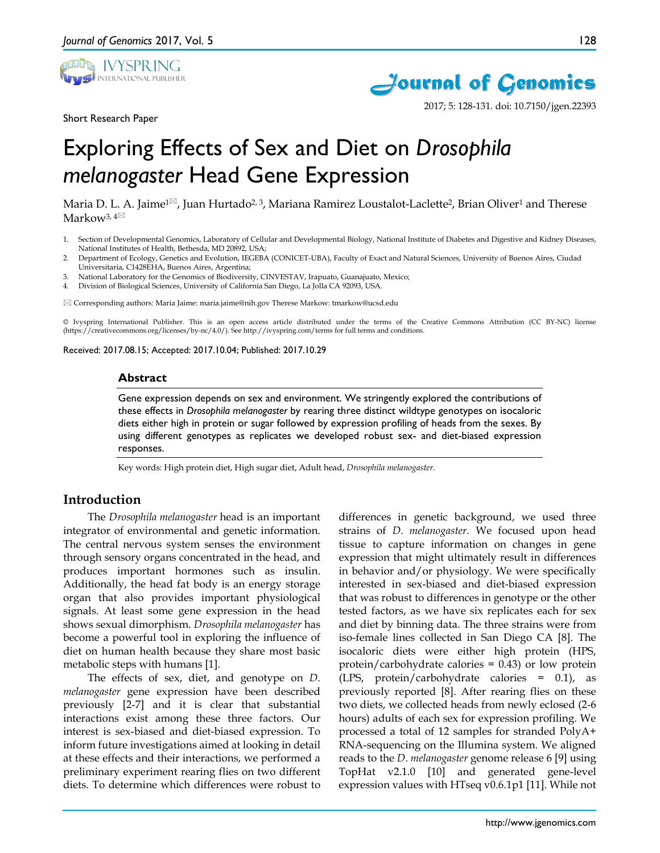

Short Research Paper



2017; 5: 128-131. doi: 10.7150/jgen.22393

# Exploring Effects of Sex and Diet on *Drosophila melanogaster* Head Gene Expression

Maria D. L. A. Jaime<sup>1 $\boxtimes$ </sup>, Juan Hurtado<sup>2, 3</sup>, Mariana Ramirez Loustalot-Laclette<sup>2</sup>, Brian Oliver<sup>1</sup> and Therese Markow<sup>3,4⊠</sup>

- 1. Section of Developmental Genomics, Laboratory of Cellular and Developmental Biology, National Institute of Diabetes and Digestive and Kidney Diseases, National Institutes of Health, Bethesda, MD 20892, USA;
- 2. Department of Ecology, Genetics and Evolution, IEGEBA (CONICET-UBA), Faculty of Exact and Natural Sciences, University of Buenos Aires, Ciudad Universitaria, C1428EHA, Buenos Aires, Argentina;
- 3. National Laboratory for the Genomics of Biodiversity, CINVESTAV, Irapuato, Guanajuato, Mexico;
- 4. Division of Biological Sciences, University of California San Diego, La Jolla CA 92093, USA.

 $\boxtimes$  Corresponding authors: Maria Jaime: maria.jaime@nih.gov Therese Markow: tmarkow@ucsd.edu

© Ivyspring International Publisher. This is an open access article distributed under the terms of the Creative Commons Attribution (CC BY-NC) license (https://creativecommons.org/licenses/by-nc/4.0/). See http://ivyspring.com/terms for full terms and conditions.

Received: 2017.08.15; Accepted: 2017.10.04; Published: 2017.10.29

#### **Abstract**

Gene expression depends on sex and environment. We stringently explored the contributions of these effects in *Drosophila melanogaster* by rearing three distinct wildtype genotypes on isocaloric diets either high in protein or sugar followed by expression profiling of heads from the sexes. By using different genotypes as replicates we developed robust sex- and diet-biased expression responses.

Key words: High protein diet, High sugar diet, Adult head, *Drosophila melanogaster.*

## **Introduction**

The *Drosophila melanogaster* head is an important integrator of environmental and genetic information. The central nervous system senses the environment through sensory organs concentrated in the head, and produces important hormones such as insulin. Additionally, the head fat body is an energy storage organ that also provides important physiological signals. At least some gene expression in the head shows sexual dimorphism. *Drosophila melanogaster* has become a powerful tool in exploring the influence of diet on human health because they share most basic metabolic steps with humans [1].

The effects of sex, diet, and genotype on *D. melanogaster* gene expression have been described previously [2-7] and it is clear that substantial interactions exist among these three factors. Our interest is sex-biased and diet-biased expression. To inform future investigations aimed at looking in detail at these effects and their interactions, we performed a preliminary experiment rearing flies on two different diets. To determine which differences were robust to

differences in genetic background, we used three strains of *D. melanogaster*. We focused upon head tissue to capture information on changes in gene expression that might ultimately result in differences in behavior and/or physiology. We were specifically interested in sex-biased and diet-biased expression that was robust to differences in genotype or the other tested factors, as we have six replicates each for sex and diet by binning data. The three strains were from iso-female lines collected in San Diego CA [8]. The isocaloric diets were either high protein (HPS, protein/carbohydrate calories = 0.43) or low protein (LPS, protein/carbohydrate calories = 0.1), as previously reported [8]. After rearing flies on these two diets, we collected heads from newly eclosed (2-6 hours) adults of each sex for expression profiling. We processed a total of 12 samples for stranded PolyA+ RNA-sequencing on the Illumina system. We aligned reads to the *D. melanogaster* genome release 6 [9] using TopHat v2.1.0 [10] and generated gene-level expression values with HTseq v0.6.1p1 [11]. While not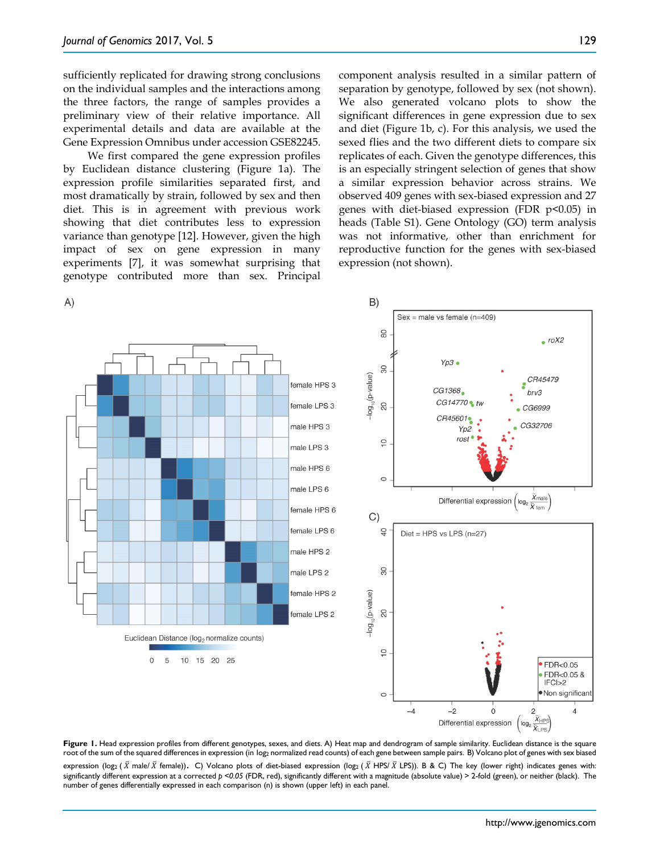sufficiently replicated for drawing strong conclusions on the individual samples and the interactions among the three factors, the range of samples provides a preliminary view of their relative importance. All experimental details and data are available at the Gene Expression Omnibus under accession GSE82245.

We first compared the gene expression profiles by Euclidean distance clustering (Figure 1a). The expression profile similarities separated first, and most dramatically by strain, followed by sex and then diet. This is in agreement with previous work showing that diet contributes less to expression variance than genotype [12]. However, given the high impact of sex on gene expression in many experiments [7], it was somewhat surprising that genotype contributed more than sex. Principal

component analysis resulted in a similar pattern of separation by genotype, followed by sex (not shown). We also generated volcano plots to show the significant differences in gene expression due to sex and diet (Figure 1b, c). For this analysis, we used the sexed flies and the two different diets to compare six replicates of each. Given the genotype differences, this is an especially stringent selection of genes that show a similar expression behavior across strains. We observed 409 genes with sex-biased expression and 27 genes with diet-biased expression (FDR  $p<0.05$ ) in heads (Table S1). Gene Ontology (GO) term analysis was not informative, other than enrichment for reproductive function for the genes with sex-biased expression (not shown).



Figure 1. Head expression profiles from different genotypes, sexes, and diets. A) Heat map and dendrogram of sample similarity. Euclidean distance is the square root of the sum of the squared differences in expression (in log2 normalized read counts) of each gene between sample pairs. B) Volcano plot of genes with sex biased expression (log2 ( $\bar{X}$  male/  $\bar{X}$  female)). C) Volcano plots of diet-biased expression (log2 ( $\bar{X}$  HPS/ $\bar{X}$  LPS)). B & C) The key (lower right) indicates genes with: significantly different expression at a corrected  $p < 0.05$  (FDR, red), significantly different with a magnitude (absolute value) > 2-fold (green), or neither (black). The number of genes differentially expressed in each comparison (n) is shown (upper left) in each panel.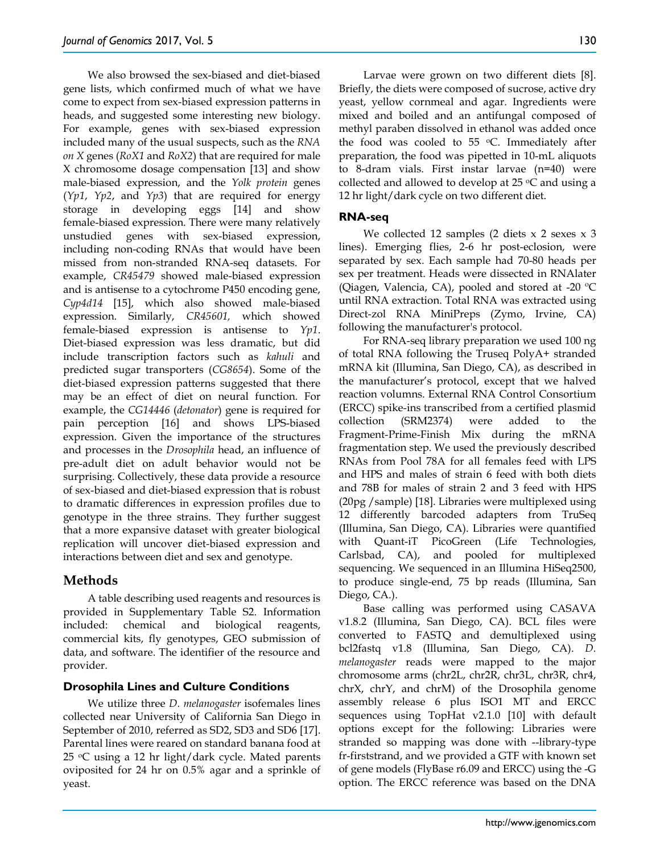We also browsed the sex-biased and diet-biased gene lists, which confirmed much of what we have come to expect from sex-biased expression patterns in heads, and suggested some interesting new biology. For example, genes with sex-biased expression included many of the usual suspects, such as the *RNA on X* genes (*RoX1* and *RoX2*) that are required for male X chromosome dosage compensation [13] and show male-biased expression, and the *Yolk protein* genes (*Yp1*, *Yp2*, and *Yp3*) that are required for energy storage in developing eggs [14] and show female-biased expression. There were many relatively unstudied genes with sex-biased expression, including non-coding RNAs that would have been missed from non-stranded RNA-seq datasets. For example, *CR45479* showed male-biased expression and is antisense to a cytochrome P450 encoding gene, *Cyp4d14* [15], which also showed male-biased expression. Similarly, *CR45601,* which showed female-biased expression is antisense to *Yp1*. Diet-biased expression was less dramatic, but did include transcription factors such as *kahuli* and predicted sugar transporters (*CG8654*). Some of the diet-biased expression patterns suggested that there may be an effect of diet on neural function. For example, the *CG14446* (*detonator*) gene is required for pain perception [16] and shows LPS-biased expression. Given the importance of the structures and processes in the *Drosophila* head, an influence of pre-adult diet on adult behavior would not be surprising. Collectively, these data provide a resource of sex-biased and diet-biased expression that is robust to dramatic differences in expression profiles due to genotype in the three strains. They further suggest that a more expansive dataset with greater biological replication will uncover diet-biased expression and interactions between diet and sex and genotype.

# **Methods**

A table describing used reagents and resources is provided in Supplementary Table S2. Information included: chemical and biological reagents, commercial kits, fly genotypes, GEO submission of data, and software. The identifier of the resource and provider.

## **Drosophila Lines and Culture Conditions**

We utilize three *D. melanogaster* isofemales lines collected near University of California San Diego in September of 2010, referred as SD2, SD3 and SD6 [17]. Parental lines were reared on standard banana food at 25 oC using a 12 hr light/dark cycle. Mated parents oviposited for 24 hr on 0.5% agar and a sprinkle of yeast.

Larvae were grown on two different diets [8]. Briefly, the diets were composed of sucrose, active dry yeast, yellow cornmeal and agar. Ingredients were mixed and boiled and an antifungal composed of methyl paraben dissolved in ethanol was added once the food was cooled to 55  $\degree$ C. Immediately after preparation, the food was pipetted in 10-mL aliquots to 8-dram vials. First instar larvae (n=40) were collected and allowed to develop at  $25 \text{ °C}$  and using a 12 hr light/dark cycle on two different diet.

# **RNA-seq**

We collected 12 samples (2 diets  $x$  2 sexes  $x$  3 lines). Emerging flies, 2-6 hr post-eclosion, were separated by sex. Each sample had 70-80 heads per sex per treatment. Heads were dissected in RNAlater (Qiagen, Valencia, CA), pooled and stored at -20 ºC until RNA extraction. Total RNA was extracted using Direct-zol RNA MiniPreps (Zymo, Irvine, CA) following the manufacturer's protocol.

For RNA-seq library preparation we used 100 ng of total RNA following the Truseq PolyA+ stranded mRNA kit (Illumina, San Diego, CA), as described in the manufacturer's protocol, except that we halved reaction volumns. External RNA Control Consortium (ERCC) spike-ins transcribed from a certified plasmid collection (SRM2374) were added to the Fragment-Prime-Finish Mix during the mRNA fragmentation step. We used the previously described RNAs from Pool 78A for all females feed with LPS and HPS and males of strain 6 feed with both diets and 78B for males of strain 2 and 3 feed with HPS (20pg /sample) [18]. Libraries were multiplexed using 12 differently barcoded adapters from TruSeq (Illumina, San Diego, CA). Libraries were quantified with Quant-iT PicoGreen (Life Technologies, Carlsbad, CA), and pooled for multiplexed sequencing. We sequenced in an Illumina HiSeq2500, to produce single-end, 75 bp reads (Illumina, San Diego, CA.).

Base calling was performed using CASAVA v1.8.2 (Illumina, San Diego, CA). BCL files were converted to FASTQ and demultiplexed using bcl2fastq v1.8 (Illumina, San Diego, CA). *D. melanogaster* reads were mapped to the major chromosome arms (chr2L, chr2R, chr3L, chr3R, chr4, chrX, chrY, and chrM) of the Drosophila genome assembly release 6 plus ISO1 MT and ERCC sequences using TopHat v2.1.0 [10] with default options except for the following: Libraries were stranded so mapping was done with --library-type fr-firststrand, and we provided a GTF with known set of gene models (FlyBase r6.09 and ERCC) using the -G option. The ERCC reference was based on the DNA